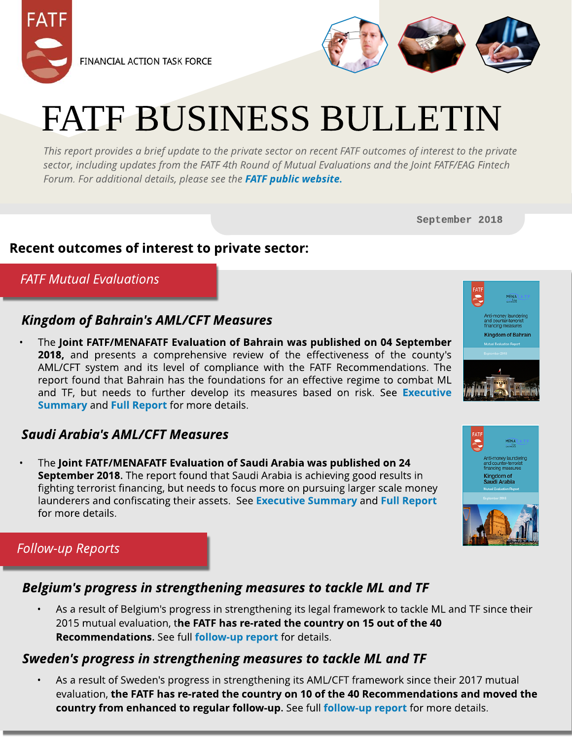



# FATF BUSINESS BULLETIN

**Thisreport providesa brief update to the private sector on recent FATFoutcomesof interest to the private sector, includingupdatesfrom the FATF4th Round of Mutual Evaluationsand the Joint FATF/EAG Fintech Forum. For additional details, please see the [FATF](http://www.fatf-gafi.org/home/) [public](http://www.fatf-gafi.org/home/) [website.](http://www.fatf-gafi.org/home/)**

September 2018

#### Recent outcomes of interest to private sector:

#### **FATFMutual Evaluations**

#### **Kingdom of Bahrain's AML/CFT Measures**

The Joint FATF/MENAFATF Evaluation of Bahrain was published on 04 September 2018, and presents a comprehensive review of the effectiveness of the county's AML/CFT system and its level of compliance with the FATF Recommendations. The report found that Bahrain has the foundations for an effective regime to combat ML and TF, but needs to further develop its measures based on risk. See [Execut](http://www.fatf-gafi.org/media/fatf/content/images/MER-Bahrain-2018-Executive-Summary.pdf)ive [Sum](http://www.fatf-gafi.org/media/fatf/content/images/MER-Bahrain-2018-Executive-Summary.pdf)mary and [Full](http://www.fatf-gafi.org/media/fatf/documents/MER-Bahrain-2018.pdf) [Report](http://www.fatf-gafi.org/media/fatf/documents/MER-Bahrain-2018.pdf) for more details.

#### **Saudi Arabia's AML/CFT Measures**

High-risk and other monitored

The Joint FATF/MENAFATF Evaluation of Saudi Arabia was published on 24 September 2018. The report found that Saudi Arabia is achieving good results in fighting terrorist financing, but needs to focus more on pursuing larger scale money laund[e](http://www.fatf-gafi.org/media/fatf/documents/reports/mer/MER-Saudi-Arabia-2018-Executive-Summary.pdf)rers and confiscating their assets. See **[Execut](http://www.fatf-gafi.org/media/fatf/documents/reports/mer/MER-Saudi-Arabia-2018-Executive-Summary.pdf)ive [Sum](http://www.fatf-gafi.org/media/fatf/documents/reports/mer/MER-Saudi-Arabia-2018-Executive-Summary.pdf)mary and [Full](http://www.fatf-gafi.org/media/fatf/documents/reports/mer/MER-Saudi-Arabia-2018-Executive-Summary.pdf) [Report](http://www.fatf-gafi.org/media/fatf/documents/reports/mer/MER-Saudi-Arabia-2018-Executive-Summary.pdf)** for more details.





#### **Follow-up** Reports

#### **Belgium's progress in strengthening measures to tackle ML and TF**

As a result of Belgium's progress in strengthening its legal framework to tackle ML and TF since their 2015 mutual evaluation, the FATF has re-rated the country on 15 out of the 40 Recommendations. See full [follow-up](http://www.fatf-gafi.org/media/fatf/documents/reports/fur/FUR-Belgium-2018.pdf) [report](http://www.fatf-gafi.org/media/fatf/documents/reports/fur/FUR-Belgium-2018.pdf) for details.

#### **Sweden's progress in strengthening measures to tackle ML and TF**

As a result of Sweden's progress in strengthening its AML/CFT framework since their 2017 mutual evaluation, the FATF has re-rated the country on 10 of the 40 Recommendations and moved the country from enhanced to regular [follow-up](http://www.fatf-gafi.org/media/fatf/documents/FUR-Sweden-2018.pdf). See full follow-up [report](http://www.fatf-gafi.org/media/fatf/documents/FUR-Sweden-2018.pdf) for more details.